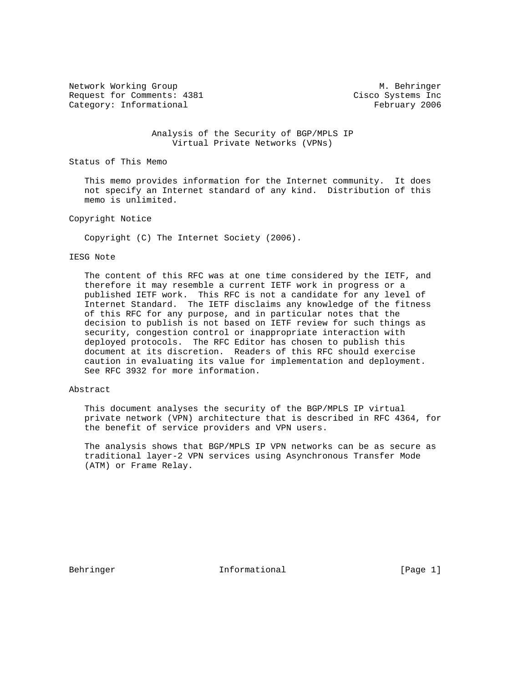Network Working Group Metwork Morking Group Metwork Methods and Metal Metal Metal Metal Metal Metal Metal Metal Request for Comments: 4381 Cisco Systems Inc Category: Informational example of the Category: The Category: The Category: The Category: The Category: The Category: The Category: The Category: The Category: The Category: The Category: The Category: The Category: The C

 Analysis of the Security of BGP/MPLS IP Virtual Private Networks (VPNs)

Status of This Memo

 This memo provides information for the Internet community. It does not specify an Internet standard of any kind. Distribution of this memo is unlimited.

Copyright Notice

Copyright (C) The Internet Society (2006).

#### IESG Note

 The content of this RFC was at one time considered by the IETF, and therefore it may resemble a current IETF work in progress or a published IETF work. This RFC is not a candidate for any level of Internet Standard. The IETF disclaims any knowledge of the fitness of this RFC for any purpose, and in particular notes that the decision to publish is not based on IETF review for such things as security, congestion control or inappropriate interaction with deployed protocols. The RFC Editor has chosen to publish this document at its discretion. Readers of this RFC should exercise caution in evaluating its value for implementation and deployment. See RFC 3932 for more information.

#### Abstract

 This document analyses the security of the BGP/MPLS IP virtual private network (VPN) architecture that is described in RFC 4364, for the benefit of service providers and VPN users.

 The analysis shows that BGP/MPLS IP VPN networks can be as secure as traditional layer-2 VPN services using Asynchronous Transfer Mode (ATM) or Frame Relay.

Behringer 11 Informational 1999 [Page 1]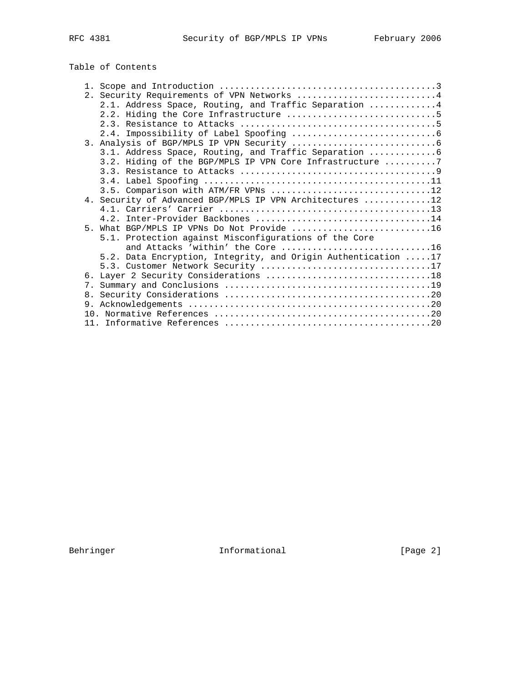# Table of Contents

|  | 2. Security Requirements of VPN Networks 4                    |
|--|---------------------------------------------------------------|
|  | 2.1. Address Space, Routing, and Traffic Separation 4         |
|  |                                                               |
|  |                                                               |
|  |                                                               |
|  |                                                               |
|  |                                                               |
|  | 3.2. Hiding of the BGP/MPLS IP VPN Core Infrastructure 7      |
|  |                                                               |
|  |                                                               |
|  | 3.5. Comparison with ATM/FR VPNs 12                           |
|  | 4. Security of Advanced BGP/MPLS IP VPN Architectures 12      |
|  |                                                               |
|  |                                                               |
|  | 5. What BGP/MPLS IP VPNs Do Not Provide 16                    |
|  |                                                               |
|  | 5.1. Protection against Misconfigurations of the Core         |
|  | and Attacks 'within' the Core 16                              |
|  | 5.2. Data Encryption, Integrity, and Origin Authentication 17 |
|  |                                                               |
|  |                                                               |
|  |                                                               |
|  |                                                               |
|  |                                                               |
|  |                                                               |
|  |                                                               |

Behringer 10 Informational 100 Informational Fage 2]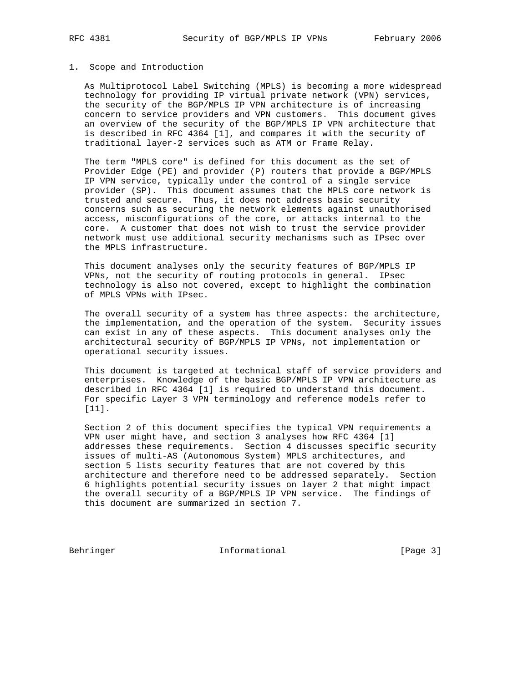# 1. Scope and Introduction

 As Multiprotocol Label Switching (MPLS) is becoming a more widespread technology for providing IP virtual private network (VPN) services, the security of the BGP/MPLS IP VPN architecture is of increasing concern to service providers and VPN customers. This document gives an overview of the security of the BGP/MPLS IP VPN architecture that is described in RFC 4364 [1], and compares it with the security of traditional layer-2 services such as ATM or Frame Relay.

 The term "MPLS core" is defined for this document as the set of Provider Edge (PE) and provider (P) routers that provide a BGP/MPLS IP VPN service, typically under the control of a single service provider (SP). This document assumes that the MPLS core network is trusted and secure. Thus, it does not address basic security concerns such as securing the network elements against unauthorised access, misconfigurations of the core, or attacks internal to the core. A customer that does not wish to trust the service provider network must use additional security mechanisms such as IPsec over the MPLS infrastructure.

 This document analyses only the security features of BGP/MPLS IP VPNs, not the security of routing protocols in general. IPsec technology is also not covered, except to highlight the combination of MPLS VPNs with IPsec.

 The overall security of a system has three aspects: the architecture, the implementation, and the operation of the system. Security issues can exist in any of these aspects. This document analyses only the architectural security of BGP/MPLS IP VPNs, not implementation or operational security issues.

 This document is targeted at technical staff of service providers and enterprises. Knowledge of the basic BGP/MPLS IP VPN architecture as described in RFC 4364 [1] is required to understand this document. For specific Layer 3 VPN terminology and reference models refer to [11].

 Section 2 of this document specifies the typical VPN requirements a VPN user might have, and section 3 analyses how RFC 4364 [1] addresses these requirements. Section 4 discusses specific security issues of multi-AS (Autonomous System) MPLS architectures, and section 5 lists security features that are not covered by this architecture and therefore need to be addressed separately. Section 6 highlights potential security issues on layer 2 that might impact the overall security of a BGP/MPLS IP VPN service. The findings of this document are summarized in section 7.

Behringer 10 Informational 100 Informational [Page 3]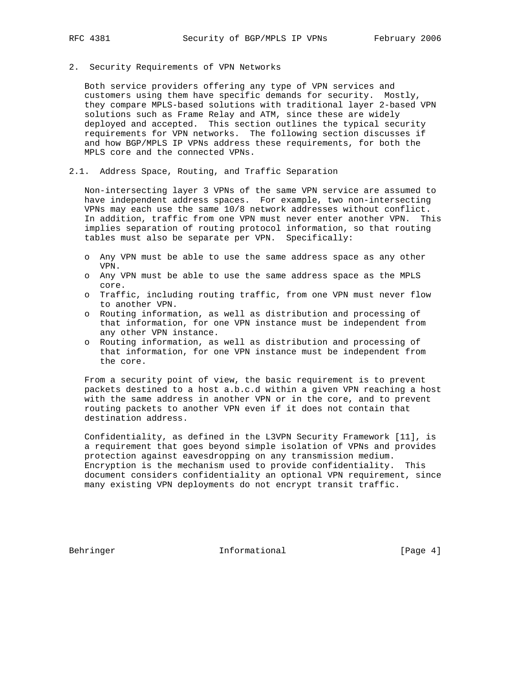#### 2. Security Requirements of VPN Networks

 Both service providers offering any type of VPN services and customers using them have specific demands for security. Mostly, they compare MPLS-based solutions with traditional layer 2-based VPN solutions such as Frame Relay and ATM, since these are widely deployed and accepted. This section outlines the typical security requirements for VPN networks. The following section discusses if and how BGP/MPLS IP VPNs address these requirements, for both the MPLS core and the connected VPNs.

#### 2.1. Address Space, Routing, and Traffic Separation

 Non-intersecting layer 3 VPNs of the same VPN service are assumed to have independent address spaces. For example, two non-intersecting VPNs may each use the same 10/8 network addresses without conflict. In addition, traffic from one VPN must never enter another VPN. This implies separation of routing protocol information, so that routing tables must also be separate per VPN. Specifically:

- o Any VPN must be able to use the same address space as any other VPN.
- o Any VPN must be able to use the same address space as the MPLS core.
- o Traffic, including routing traffic, from one VPN must never flow to another VPN.
- o Routing information, as well as distribution and processing of that information, for one VPN instance must be independent from any other VPN instance.
- o Routing information, as well as distribution and processing of that information, for one VPN instance must be independent from the core.

 From a security point of view, the basic requirement is to prevent packets destined to a host a.b.c.d within a given VPN reaching a host with the same address in another VPN or in the core, and to prevent routing packets to another VPN even if it does not contain that destination address.

 Confidentiality, as defined in the L3VPN Security Framework [11], is a requirement that goes beyond simple isolation of VPNs and provides protection against eavesdropping on any transmission medium. Encryption is the mechanism used to provide confidentiality. This document considers confidentiality an optional VPN requirement, since many existing VPN deployments do not encrypt transit traffic.

Behringer 11 Informational 1999 [Page 4]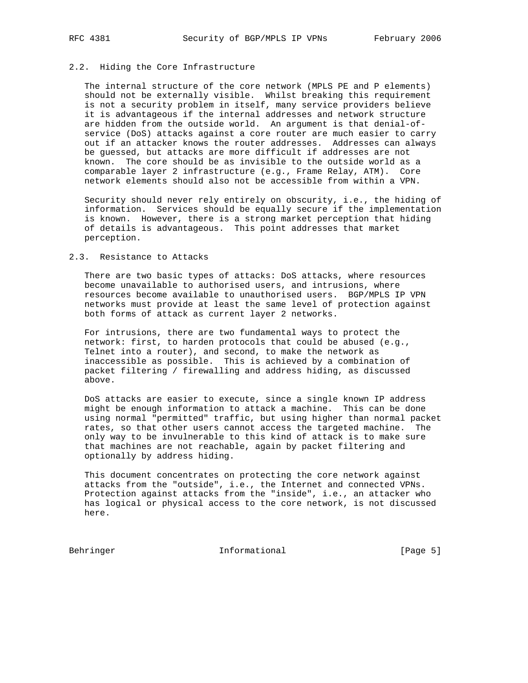## 2.2. Hiding the Core Infrastructure

 The internal structure of the core network (MPLS PE and P elements) should not be externally visible. Whilst breaking this requirement is not a security problem in itself, many service providers believe it is advantageous if the internal addresses and network structure are hidden from the outside world. An argument is that denial-of service (DoS) attacks against a core router are much easier to carry out if an attacker knows the router addresses. Addresses can always be guessed, but attacks are more difficult if addresses are not known. The core should be as invisible to the outside world as a comparable layer 2 infrastructure (e.g., Frame Relay, ATM). Core network elements should also not be accessible from within a VPN.

 Security should never rely entirely on obscurity, i.e., the hiding of information. Services should be equally secure if the implementation is known. However, there is a strong market perception that hiding of details is advantageous. This point addresses that market perception.

#### 2.3. Resistance to Attacks

 There are two basic types of attacks: DoS attacks, where resources become unavailable to authorised users, and intrusions, where resources become available to unauthorised users. BGP/MPLS IP VPN networks must provide at least the same level of protection against both forms of attack as current layer 2 networks.

 For intrusions, there are two fundamental ways to protect the network: first, to harden protocols that could be abused (e.g., Telnet into a router), and second, to make the network as inaccessible as possible. This is achieved by a combination of packet filtering / firewalling and address hiding, as discussed above.

 DoS attacks are easier to execute, since a single known IP address might be enough information to attack a machine. This can be done using normal "permitted" traffic, but using higher than normal packet rates, so that other users cannot access the targeted machine. The only way to be invulnerable to this kind of attack is to make sure that machines are not reachable, again by packet filtering and optionally by address hiding.

 This document concentrates on protecting the core network against attacks from the "outside", i.e., the Internet and connected VPNs. Protection against attacks from the "inside", i.e., an attacker who has logical or physical access to the core network, is not discussed here.

Behringer 10 Informational 100 Informational [Page 5]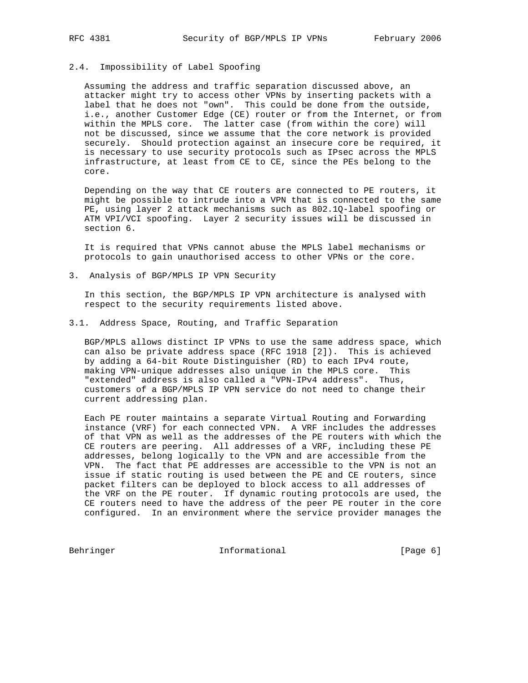# 2.4. Impossibility of Label Spoofing

 Assuming the address and traffic separation discussed above, an attacker might try to access other VPNs by inserting packets with a label that he does not "own". This could be done from the outside, i.e., another Customer Edge (CE) router or from the Internet, or from within the MPLS core. The latter case (from within the core) will not be discussed, since we assume that the core network is provided securely. Should protection against an insecure core be required, it is necessary to use security protocols such as IPsec across the MPLS infrastructure, at least from CE to CE, since the PEs belong to the core.

 Depending on the way that CE routers are connected to PE routers, it might be possible to intrude into a VPN that is connected to the same PE, using layer 2 attack mechanisms such as 802.1Q-label spoofing or ATM VPI/VCI spoofing. Layer 2 security issues will be discussed in section 6.

 It is required that VPNs cannot abuse the MPLS label mechanisms or protocols to gain unauthorised access to other VPNs or the core.

3. Analysis of BGP/MPLS IP VPN Security

 In this section, the BGP/MPLS IP VPN architecture is analysed with respect to the security requirements listed above.

### 3.1. Address Space, Routing, and Traffic Separation

 BGP/MPLS allows distinct IP VPNs to use the same address space, which can also be private address space (RFC 1918 [2]). This is achieved by adding a 64-bit Route Distinguisher (RD) to each IPv4 route, making VPN-unique addresses also unique in the MPLS core. This "extended" address is also called a "VPN-IPv4 address". Thus, customers of a BGP/MPLS IP VPN service do not need to change their current addressing plan.

 Each PE router maintains a separate Virtual Routing and Forwarding instance (VRF) for each connected VPN. A VRF includes the addresses of that VPN as well as the addresses of the PE routers with which the CE routers are peering. All addresses of a VRF, including these PE addresses, belong logically to the VPN and are accessible from the VPN. The fact that PE addresses are accessible to the VPN is not an issue if static routing is used between the PE and CE routers, since packet filters can be deployed to block access to all addresses of the VRF on the PE router. If dynamic routing protocols are used, the CE routers need to have the address of the peer PE router in the core configured. In an environment where the service provider manages the

Behringer 10 Informational 100 Informational [Page 6]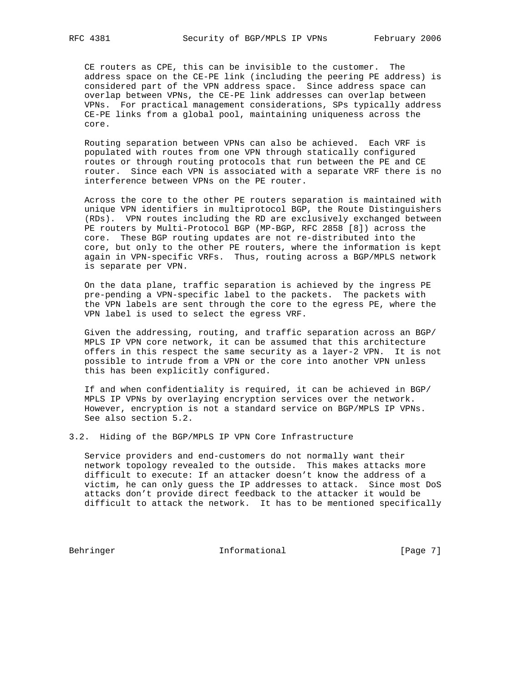CE routers as CPE, this can be invisible to the customer. The address space on the CE-PE link (including the peering PE address) is considered part of the VPN address space. Since address space can overlap between VPNs, the CE-PE link addresses can overlap between VPNs. For practical management considerations, SPs typically address CE-PE links from a global pool, maintaining uniqueness across the core.

 Routing separation between VPNs can also be achieved. Each VRF is populated with routes from one VPN through statically configured routes or through routing protocols that run between the PE and CE router. Since each VPN is associated with a separate VRF there is no interference between VPNs on the PE router.

 Across the core to the other PE routers separation is maintained with unique VPN identifiers in multiprotocol BGP, the Route Distinguishers (RDs). VPN routes including the RD are exclusively exchanged between PE routers by Multi-Protocol BGP (MP-BGP, RFC 2858 [8]) across the core. These BGP routing updates are not re-distributed into the core, but only to the other PE routers, where the information is kept again in VPN-specific VRFs. Thus, routing across a BGP/MPLS network is separate per VPN.

 On the data plane, traffic separation is achieved by the ingress PE pre-pending a VPN-specific label to the packets. The packets with the VPN labels are sent through the core to the egress PE, where the VPN label is used to select the egress VRF.

 Given the addressing, routing, and traffic separation across an BGP/ MPLS IP VPN core network, it can be assumed that this architecture offers in this respect the same security as a layer-2 VPN. It is not possible to intrude from a VPN or the core into another VPN unless this has been explicitly configured.

 If and when confidentiality is required, it can be achieved in BGP/ MPLS IP VPNs by overlaying encryption services over the network. However, encryption is not a standard service on BGP/MPLS IP VPNs. See also section 5.2.

3.2. Hiding of the BGP/MPLS IP VPN Core Infrastructure

 Service providers and end-customers do not normally want their network topology revealed to the outside. This makes attacks more difficult to execute: If an attacker doesn't know the address of a victim, he can only guess the IP addresses to attack. Since most DoS attacks don't provide direct feedback to the attacker it would be difficult to attack the network. It has to be mentioned specifically

Behringer 1111 Informational 1116 [Page 7]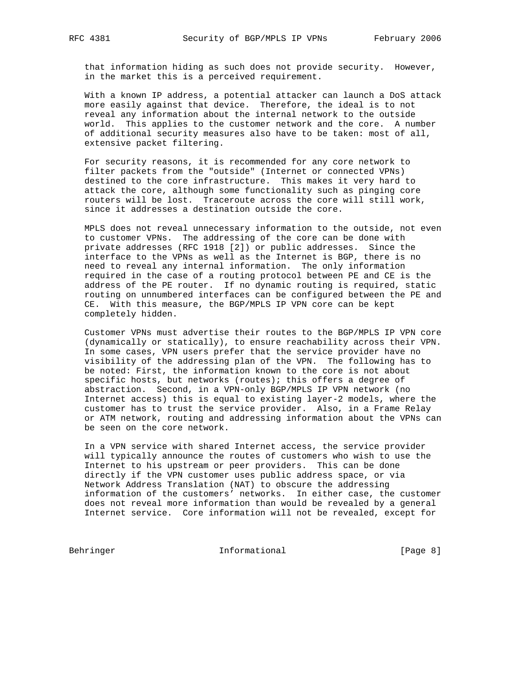that information hiding as such does not provide security. However, in the market this is a perceived requirement.

 With a known IP address, a potential attacker can launch a DoS attack more easily against that device. Therefore, the ideal is to not reveal any information about the internal network to the outside world. This applies to the customer network and the core. A number of additional security measures also have to be taken: most of all, extensive packet filtering.

 For security reasons, it is recommended for any core network to filter packets from the "outside" (Internet or connected VPNs) destined to the core infrastructure. This makes it very hard to attack the core, although some functionality such as pinging core routers will be lost. Traceroute across the core will still work, since it addresses a destination outside the core.

 MPLS does not reveal unnecessary information to the outside, not even to customer VPNs. The addressing of the core can be done with private addresses (RFC 1918 [2]) or public addresses. Since the interface to the VPNs as well as the Internet is BGP, there is no need to reveal any internal information. The only information required in the case of a routing protocol between PE and CE is the address of the PE router. If no dynamic routing is required, static routing on unnumbered interfaces can be configured between the PE and CE. With this measure, the BGP/MPLS IP VPN core can be kept completely hidden.

 Customer VPNs must advertise their routes to the BGP/MPLS IP VPN core (dynamically or statically), to ensure reachability across their VPN. In some cases, VPN users prefer that the service provider have no visibility of the addressing plan of the VPN. The following has to be noted: First, the information known to the core is not about specific hosts, but networks (routes); this offers a degree of abstraction. Second, in a VPN-only BGP/MPLS IP VPN network (no Internet access) this is equal to existing layer-2 models, where the customer has to trust the service provider. Also, in a Frame Relay or ATM network, routing and addressing information about the VPNs can be seen on the core network.

 In a VPN service with shared Internet access, the service provider will typically announce the routes of customers who wish to use the Internet to his upstream or peer providers. This can be done directly if the VPN customer uses public address space, or via Network Address Translation (NAT) to obscure the addressing information of the customers' networks. In either case, the customer does not reveal more information than would be revealed by a general Internet service. Core information will not be revealed, except for

Behringer Informational [Page 8]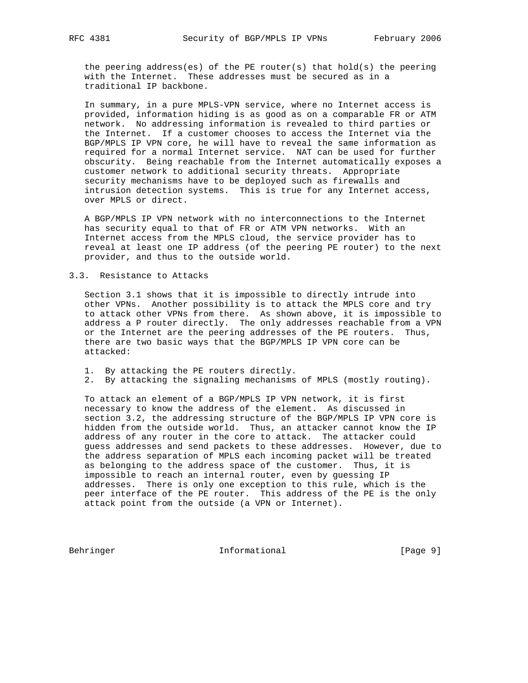the peering address(es) of the PE router(s) that hold(s) the peering with the Internet. These addresses must be secured as in a traditional IP backbone.

 In summary, in a pure MPLS-VPN service, where no Internet access is provided, information hiding is as good as on a comparable FR or ATM network. No addressing information is revealed to third parties or the Internet. If a customer chooses to access the Internet via the BGP/MPLS IP VPN core, he will have to reveal the same information as required for a normal Internet service. NAT can be used for further obscurity. Being reachable from the Internet automatically exposes a customer network to additional security threats. Appropriate security mechanisms have to be deployed such as firewalls and intrusion detection systems. This is true for any Internet access, over MPLS or direct.

 A BGP/MPLS IP VPN network with no interconnections to the Internet has security equal to that of FR or ATM VPN networks. With an Internet access from the MPLS cloud, the service provider has to reveal at least one IP address (of the peering PE router) to the next provider, and thus to the outside world.

### 3.3. Resistance to Attacks

 Section 3.1 shows that it is impossible to directly intrude into other VPNs. Another possibility is to attack the MPLS core and try to attack other VPNs from there. As shown above, it is impossible to address a P router directly. The only addresses reachable from a VPN or the Internet are the peering addresses of the PE routers. Thus, there are two basic ways that the BGP/MPLS IP VPN core can be attacked:

- 1. By attacking the PE routers directly.
- 2. By attacking the signaling mechanisms of MPLS (mostly routing).

 To attack an element of a BGP/MPLS IP VPN network, it is first necessary to know the address of the element. As discussed in section 3.2, the addressing structure of the BGP/MPLS IP VPN core is hidden from the outside world. Thus, an attacker cannot know the IP address of any router in the core to attack. The attacker could guess addresses and send packets to these addresses. However, due to the address separation of MPLS each incoming packet will be treated as belonging to the address space of the customer. Thus, it is impossible to reach an internal router, even by guessing IP addresses. There is only one exception to this rule, which is the peer interface of the PE router. This address of the PE is the only attack point from the outside (a VPN or Internet).

Behringer 10 Informational 100 Informational [Page 9]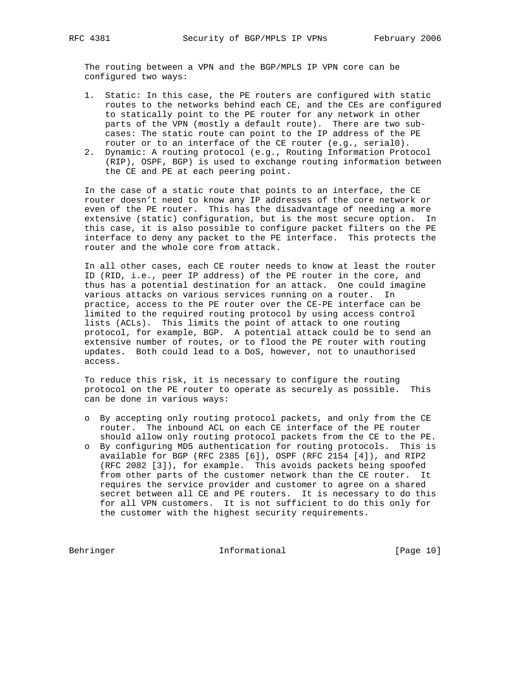The routing between a VPN and the BGP/MPLS IP VPN core can be configured two ways:

- 1. Static: In this case, the PE routers are configured with static routes to the networks behind each CE, and the CEs are configured to statically point to the PE router for any network in other parts of the VPN (mostly a default route). There are two sub cases: The static route can point to the IP address of the PE router or to an interface of the CE router (e.g., serial0).
- 2. Dynamic: A routing protocol (e.g., Routing Information Protocol (RIP), OSPF, BGP) is used to exchange routing information between the CE and PE at each peering point.

 In the case of a static route that points to an interface, the CE router doesn't need to know any IP addresses of the core network or even of the PE router. This has the disadvantage of needing a more extensive (static) configuration, but is the most secure option. In this case, it is also possible to configure packet filters on the PE interface to deny any packet to the PE interface. This protects the router and the whole core from attack.

 In all other cases, each CE router needs to know at least the router ID (RID, i.e., peer IP address) of the PE router in the core, and thus has a potential destination for an attack. One could imagine various attacks on various services running on a router. In practice, access to the PE router over the CE-PE interface can be limited to the required routing protocol by using access control lists (ACLs). This limits the point of attack to one routing protocol, for example, BGP. A potential attack could be to send an extensive number of routes, or to flood the PE router with routing updates. Both could lead to a DoS, however, not to unauthorised access.

 To reduce this risk, it is necessary to configure the routing protocol on the PE router to operate as securely as possible. This can be done in various ways:

- o By accepting only routing protocol packets, and only from the CE router. The inbound ACL on each CE interface of the PE router should allow only routing protocol packets from the CE to the PE.
- o By configuring MD5 authentication for routing protocols. This is available for BGP (RFC 2385 [6]), OSPF (RFC 2154 [4]), and RIP2 (RFC 2082 [3]), for example. This avoids packets being spoofed from other parts of the customer network than the CE router. It requires the service provider and customer to agree on a shared secret between all CE and PE routers. It is necessary to do this for all VPN customers. It is not sufficient to do this only for the customer with the highest security requirements.

Behringer 10] Informational [Page 10]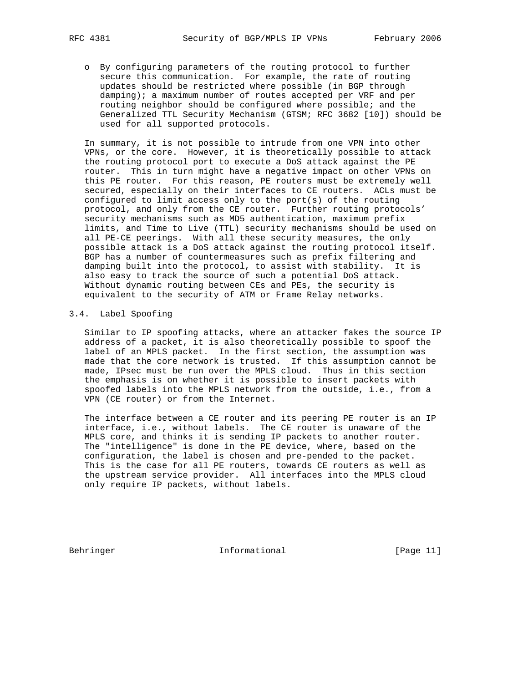o By configuring parameters of the routing protocol to further secure this communication. For example, the rate of routing updates should be restricted where possible (in BGP through damping); a maximum number of routes accepted per VRF and per routing neighbor should be configured where possible; and the Generalized TTL Security Mechanism (GTSM; RFC 3682 [10]) should be used for all supported protocols.

 In summary, it is not possible to intrude from one VPN into other VPNs, or the core. However, it is theoretically possible to attack the routing protocol port to execute a DoS attack against the PE router. This in turn might have a negative impact on other VPNs on this PE router. For this reason, PE routers must be extremely well secured, especially on their interfaces to CE routers. ACLs must be configured to limit access only to the port(s) of the routing protocol, and only from the CE router. Further routing protocols' security mechanisms such as MD5 authentication, maximum prefix limits, and Time to Live (TTL) security mechanisms should be used on all PE-CE peerings. With all these security measures, the only possible attack is a DoS attack against the routing protocol itself. BGP has a number of countermeasures such as prefix filtering and damping built into the protocol, to assist with stability. It is also easy to track the source of such a potential DoS attack. Without dynamic routing between CEs and PEs, the security is equivalent to the security of ATM or Frame Relay networks.

## 3.4. Label Spoofing

 Similar to IP spoofing attacks, where an attacker fakes the source IP address of a packet, it is also theoretically possible to spoof the label of an MPLS packet. In the first section, the assumption was made that the core network is trusted. If this assumption cannot be made, IPsec must be run over the MPLS cloud. Thus in this section the emphasis is on whether it is possible to insert packets with spoofed labels into the MPLS network from the outside, i.e., from a VPN (CE router) or from the Internet.

 The interface between a CE router and its peering PE router is an IP interface, i.e., without labels. The CE router is unaware of the MPLS core, and thinks it is sending IP packets to another router. The "intelligence" is done in the PE device, where, based on the configuration, the label is chosen and pre-pended to the packet. This is the case for all PE routers, towards CE routers as well as the upstream service provider. All interfaces into the MPLS cloud only require IP packets, without labels.

Behringer 11 Informational [Page 11]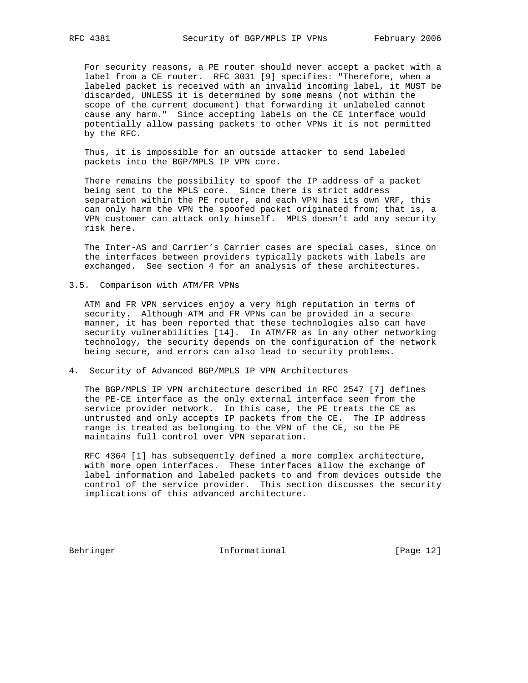For security reasons, a PE router should never accept a packet with a label from a CE router. RFC 3031 [9] specifies: "Therefore, when a labeled packet is received with an invalid incoming label, it MUST be discarded, UNLESS it is determined by some means (not within the scope of the current document) that forwarding it unlabeled cannot cause any harm." Since accepting labels on the CE interface would potentially allow passing packets to other VPNs it is not permitted by the RFC.

 Thus, it is impossible for an outside attacker to send labeled packets into the BGP/MPLS IP VPN core.

 There remains the possibility to spoof the IP address of a packet being sent to the MPLS core. Since there is strict address separation within the PE router, and each VPN has its own VRF, this can only harm the VPN the spoofed packet originated from; that is, a VPN customer can attack only himself. MPLS doesn't add any security risk here.

 The Inter-AS and Carrier's Carrier cases are special cases, since on the interfaces between providers typically packets with labels are exchanged. See section 4 for an analysis of these architectures.

3.5. Comparison with ATM/FR VPNs

 ATM and FR VPN services enjoy a very high reputation in terms of security. Although ATM and FR VPNs can be provided in a secure manner, it has been reported that these technologies also can have security vulnerabilities [14]. In ATM/FR as in any other networking technology, the security depends on the configuration of the network being secure, and errors can also lead to security problems.

4. Security of Advanced BGP/MPLS IP VPN Architectures

 The BGP/MPLS IP VPN architecture described in RFC 2547 [7] defines the PE-CE interface as the only external interface seen from the service provider network. In this case, the PE treats the CE as untrusted and only accepts IP packets from the CE. The IP address range is treated as belonging to the VPN of the CE, so the PE maintains full control over VPN separation.

 RFC 4364 [1] has subsequently defined a more complex architecture, with more open interfaces. These interfaces allow the exchange of label information and labeled packets to and from devices outside the control of the service provider. This section discusses the security implications of this advanced architecture.

Behringer 12]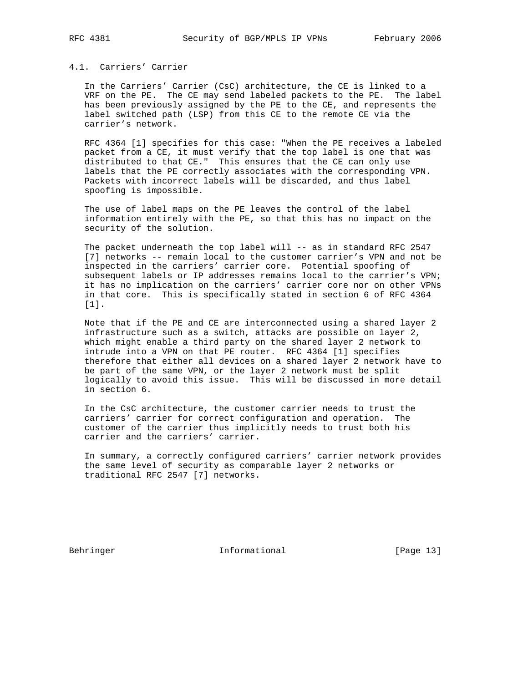### 4.1. Carriers' Carrier

 In the Carriers' Carrier (CsC) architecture, the CE is linked to a VRF on the PE. The CE may send labeled packets to the PE. The label has been previously assigned by the PE to the CE, and represents the label switched path (LSP) from this CE to the remote CE via the carrier's network.

 RFC 4364 [1] specifies for this case: "When the PE receives a labeled packet from a CE, it must verify that the top label is one that was distributed to that CE." This ensures that the CE can only use labels that the PE correctly associates with the corresponding VPN. Packets with incorrect labels will be discarded, and thus label spoofing is impossible.

 The use of label maps on the PE leaves the control of the label information entirely with the PE, so that this has no impact on the security of the solution.

The packet underneath the top label will -- as in standard RFC 2547 [7] networks -- remain local to the customer carrier's VPN and not be inspected in the carriers' carrier core. Potential spoofing of subsequent labels or IP addresses remains local to the carrier's VPN; it has no implication on the carriers' carrier core nor on other VPNs in that core. This is specifically stated in section 6 of RFC 4364 [1].

 Note that if the PE and CE are interconnected using a shared layer 2 infrastructure such as a switch, attacks are possible on layer 2, which might enable a third party on the shared layer 2 network to intrude into a VPN on that PE router. RFC 4364 [1] specifies therefore that either all devices on a shared layer 2 network have to be part of the same VPN, or the layer 2 network must be split logically to avoid this issue. This will be discussed in more detail in section 6.

 In the CsC architecture, the customer carrier needs to trust the carriers' carrier for correct configuration and operation. The customer of the carrier thus implicitly needs to trust both his carrier and the carriers' carrier.

 In summary, a correctly configured carriers' carrier network provides the same level of security as comparable layer 2 networks or traditional RFC 2547 [7] networks.

Behringer 13]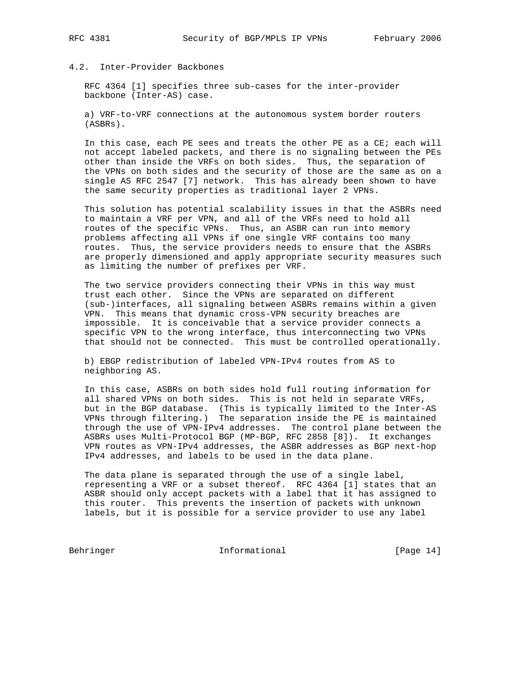# 4.2. Inter-Provider Backbones

 RFC 4364 [1] specifies three sub-cases for the inter-provider backbone (Inter-AS) case.

 a) VRF-to-VRF connections at the autonomous system border routers (ASBRs).

 In this case, each PE sees and treats the other PE as a CE; each will not accept labeled packets, and there is no signaling between the PEs other than inside the VRFs on both sides. Thus, the separation of the VPNs on both sides and the security of those are the same as on a single AS RFC 2547 [7] network. This has already been shown to have the same security properties as traditional layer 2 VPNs.

 This solution has potential scalability issues in that the ASBRs need to maintain a VRF per VPN, and all of the VRFs need to hold all routes of the specific VPNs. Thus, an ASBR can run into memory problems affecting all VPNs if one single VRF contains too many routes. Thus, the service providers needs to ensure that the ASBRs are properly dimensioned and apply appropriate security measures such as limiting the number of prefixes per VRF.

 The two service providers connecting their VPNs in this way must trust each other. Since the VPNs are separated on different (sub-)interfaces, all signaling between ASBRs remains within a given VPN. This means that dynamic cross-VPN security breaches are impossible. It is conceivable that a service provider connects a specific VPN to the wrong interface, thus interconnecting two VPNs that should not be connected. This must be controlled operationally.

 b) EBGP redistribution of labeled VPN-IPv4 routes from AS to neighboring AS.

 In this case, ASBRs on both sides hold full routing information for all shared VPNs on both sides. This is not held in separate VRFs, but in the BGP database. (This is typically limited to the Inter-AS VPNs through filtering.) The separation inside the PE is maintained through the use of VPN-IPv4 addresses. The control plane between the ASBRs uses Multi-Protocol BGP (MP-BGP, RFC 2858 [8]). It exchanges VPN routes as VPN-IPv4 addresses, the ASBR addresses as BGP next-hop IPv4 addresses, and labels to be used in the data plane.

 The data plane is separated through the use of a single label, representing a VRF or a subset thereof. RFC 4364 [1] states that an ASBR should only accept packets with a label that it has assigned to this router. This prevents the insertion of packets with unknown labels, but it is possible for a service provider to use any label

Behringer 14]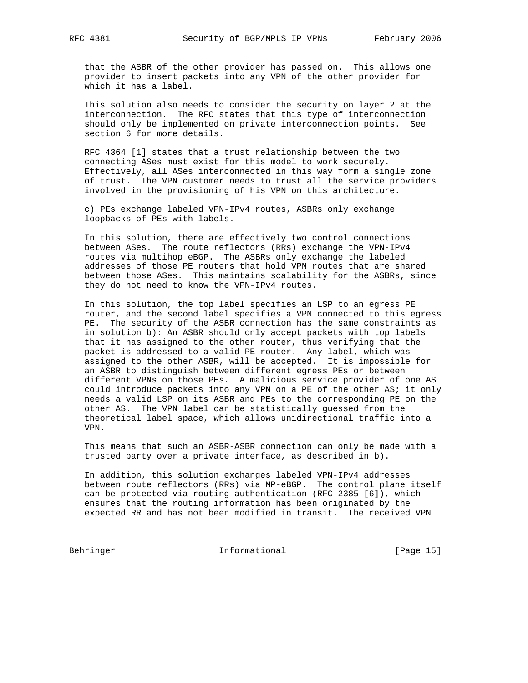that the ASBR of the other provider has passed on. This allows one provider to insert packets into any VPN of the other provider for which it has a label.

 This solution also needs to consider the security on layer 2 at the interconnection. The RFC states that this type of interconnection should only be implemented on private interconnection points. See section 6 for more details.

 RFC 4364 [1] states that a trust relationship between the two connecting ASes must exist for this model to work securely. Effectively, all ASes interconnected in this way form a single zone of trust. The VPN customer needs to trust all the service providers involved in the provisioning of his VPN on this architecture.

 c) PEs exchange labeled VPN-IPv4 routes, ASBRs only exchange loopbacks of PEs with labels.

 In this solution, there are effectively two control connections between ASes. The route reflectors (RRs) exchange the VPN-IPv4 routes via multihop eBGP. The ASBRs only exchange the labeled addresses of those PE routers that hold VPN routes that are shared between those ASes. This maintains scalability for the ASBRs, since they do not need to know the VPN-IPv4 routes.

 In this solution, the top label specifies an LSP to an egress PE router, and the second label specifies a VPN connected to this egress PE. The security of the ASBR connection has the same constraints as in solution b): An ASBR should only accept packets with top labels that it has assigned to the other router, thus verifying that the packet is addressed to a valid PE router. Any label, which was assigned to the other ASBR, will be accepted. It is impossible for an ASBR to distinguish between different egress PEs or between different VPNs on those PEs. A malicious service provider of one AS could introduce packets into any VPN on a PE of the other AS; it only needs a valid LSP on its ASBR and PEs to the corresponding PE on the other AS. The VPN label can be statistically guessed from the theoretical label space, which allows unidirectional traffic into a VPN.

 This means that such an ASBR-ASBR connection can only be made with a trusted party over a private interface, as described in b).

 In addition, this solution exchanges labeled VPN-IPv4 addresses between route reflectors (RRs) via MP-eBGP. The control plane itself can be protected via routing authentication (RFC 2385 [6]), which ensures that the routing information has been originated by the expected RR and has not been modified in transit. The received VPN

Behringer 15]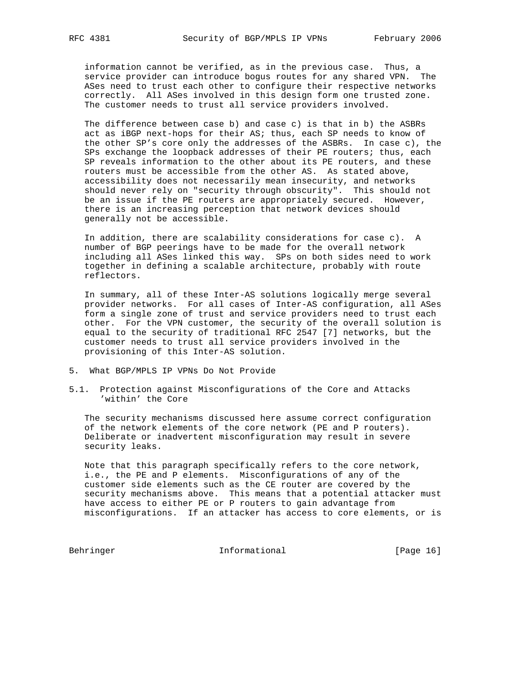information cannot be verified, as in the previous case. Thus, a service provider can introduce bogus routes for any shared VPN. The ASes need to trust each other to configure their respective networks correctly. All ASes involved in this design form one trusted zone. The customer needs to trust all service providers involved.

 The difference between case b) and case c) is that in b) the ASBRs act as iBGP next-hops for their AS; thus, each SP needs to know of the other SP's core only the addresses of the ASBRs. In case c), the SPs exchange the loopback addresses of their PE routers; thus, each SP reveals information to the other about its PE routers, and these routers must be accessible from the other AS. As stated above, accessibility does not necessarily mean insecurity, and networks should never rely on "security through obscurity". This should not be an issue if the PE routers are appropriately secured. However, there is an increasing perception that network devices should generally not be accessible.

 In addition, there are scalability considerations for case c). A number of BGP peerings have to be made for the overall network including all ASes linked this way. SPs on both sides need to work together in defining a scalable architecture, probably with route reflectors.

 In summary, all of these Inter-AS solutions logically merge several provider networks. For all cases of Inter-AS configuration, all ASes form a single zone of trust and service providers need to trust each other. For the VPN customer, the security of the overall solution is equal to the security of traditional RFC 2547 [7] networks, but the customer needs to trust all service providers involved in the provisioning of this Inter-AS solution.

- 5. What BGP/MPLS IP VPNs Do Not Provide
- 5.1. Protection against Misconfigurations of the Core and Attacks 'within' the Core

 The security mechanisms discussed here assume correct configuration of the network elements of the core network (PE and P routers). Deliberate or inadvertent misconfiguration may result in severe security leaks.

 Note that this paragraph specifically refers to the core network, i.e., the PE and P elements. Misconfigurations of any of the customer side elements such as the CE router are covered by the security mechanisms above. This means that a potential attacker must have access to either PE or P routers to gain advantage from misconfigurations. If an attacker has access to core elements, or is

Behringer 16] Informational [Page 16]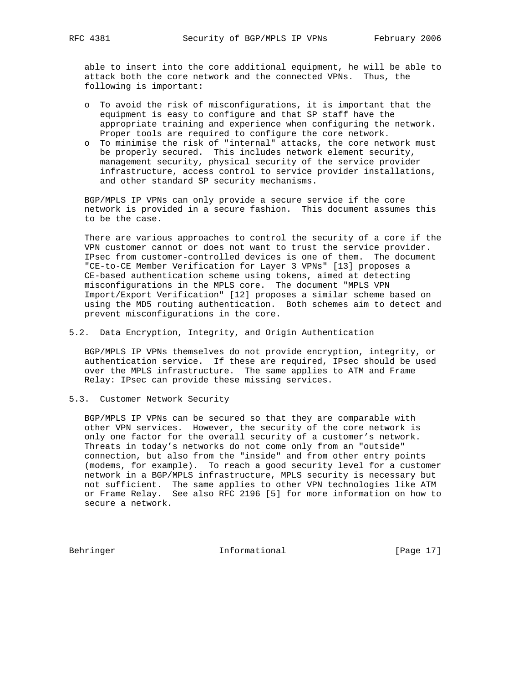able to insert into the core additional equipment, he will be able to attack both the core network and the connected VPNs. Thus, the following is important:

- o To avoid the risk of misconfigurations, it is important that the equipment is easy to configure and that SP staff have the appropriate training and experience when configuring the network. Proper tools are required to configure the core network.
- o To minimise the risk of "internal" attacks, the core network must be properly secured. This includes network element security, management security, physical security of the service provider infrastructure, access control to service provider installations, and other standard SP security mechanisms.

 BGP/MPLS IP VPNs can only provide a secure service if the core network is provided in a secure fashion. This document assumes this to be the case.

 There are various approaches to control the security of a core if the VPN customer cannot or does not want to trust the service provider. IPsec from customer-controlled devices is one of them. The document "CE-to-CE Member Verification for Layer 3 VPNs" [13] proposes a CE-based authentication scheme using tokens, aimed at detecting misconfigurations in the MPLS core. The document "MPLS VPN Import/Export Verification" [12] proposes a similar scheme based on using the MD5 routing authentication. Both schemes aim to detect and prevent misconfigurations in the core.

5.2. Data Encryption, Integrity, and Origin Authentication

 BGP/MPLS IP VPNs themselves do not provide encryption, integrity, or authentication service. If these are required, IPsec should be used over the MPLS infrastructure. The same applies to ATM and Frame Relay: IPsec can provide these missing services.

5.3. Customer Network Security

 BGP/MPLS IP VPNs can be secured so that they are comparable with other VPN services. However, the security of the core network is only one factor for the overall security of a customer's network. Threats in today's networks do not come only from an "outside" connection, but also from the "inside" and from other entry points (modems, for example). To reach a good security level for a customer network in a BGP/MPLS infrastructure, MPLS security is necessary but not sufficient. The same applies to other VPN technologies like ATM or Frame Relay. See also RFC 2196 [5] for more information on how to secure a network.

Behringer 17] Informational [Page 17]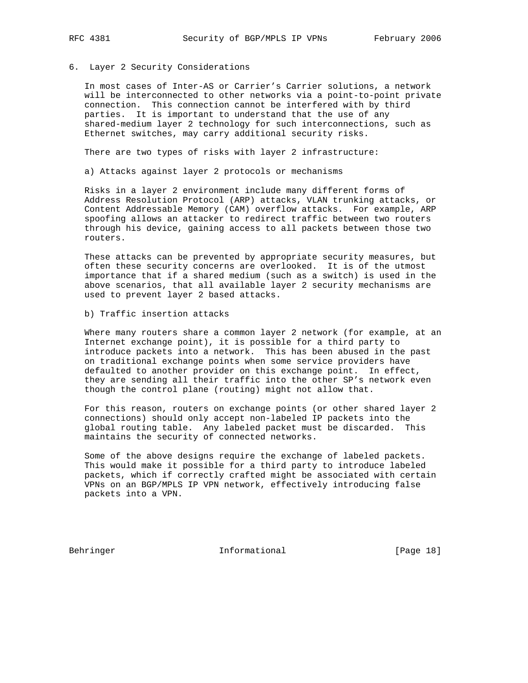#### 6. Layer 2 Security Considerations

 In most cases of Inter-AS or Carrier's Carrier solutions, a network will be interconnected to other networks via a point-to-point private connection. This connection cannot be interfered with by third parties. It is important to understand that the use of any shared-medium layer 2 technology for such interconnections, such as Ethernet switches, may carry additional security risks.

There are two types of risks with layer 2 infrastructure:

a) Attacks against layer 2 protocols or mechanisms

 Risks in a layer 2 environment include many different forms of Address Resolution Protocol (ARP) attacks, VLAN trunking attacks, or Content Addressable Memory (CAM) overflow attacks. For example, ARP spoofing allows an attacker to redirect traffic between two routers through his device, gaining access to all packets between those two routers.

 These attacks can be prevented by appropriate security measures, but often these security concerns are overlooked. It is of the utmost importance that if a shared medium (such as a switch) is used in the above scenarios, that all available layer 2 security mechanisms are used to prevent layer 2 based attacks.

b) Traffic insertion attacks

 Where many routers share a common layer 2 network (for example, at an Internet exchange point), it is possible for a third party to introduce packets into a network. This has been abused in the past on traditional exchange points when some service providers have defaulted to another provider on this exchange point. In effect, they are sending all their traffic into the other SP's network even though the control plane (routing) might not allow that.

 For this reason, routers on exchange points (or other shared layer 2 connections) should only accept non-labeled IP packets into the global routing table. Any labeled packet must be discarded. This maintains the security of connected networks.

 Some of the above designs require the exchange of labeled packets. This would make it possible for a third party to introduce labeled packets, which if correctly crafted might be associated with certain VPNs on an BGP/MPLS IP VPN network, effectively introducing false packets into a VPN.

Behringer 18 Informational [Page 18]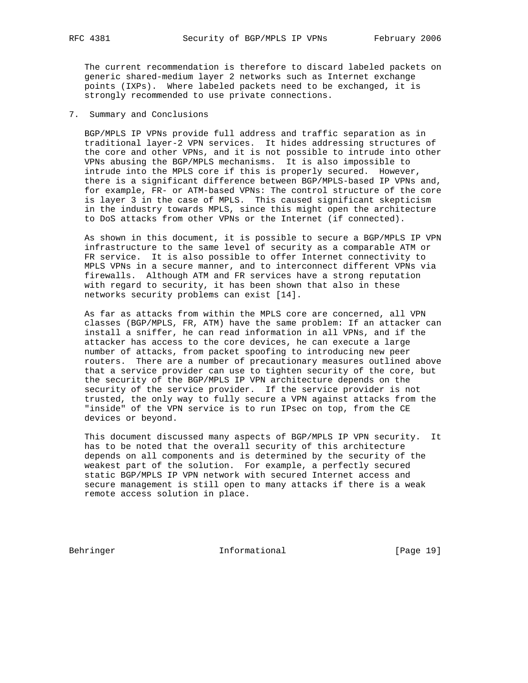The current recommendation is therefore to discard labeled packets on generic shared-medium layer 2 networks such as Internet exchange points (IXPs). Where labeled packets need to be exchanged, it is strongly recommended to use private connections.

### 7. Summary and Conclusions

 BGP/MPLS IP VPNs provide full address and traffic separation as in traditional layer-2 VPN services. It hides addressing structures of the core and other VPNs, and it is not possible to intrude into other VPNs abusing the BGP/MPLS mechanisms. It is also impossible to intrude into the MPLS core if this is properly secured. However, there is a significant difference between BGP/MPLS-based IP VPNs and, for example, FR- or ATM-based VPNs: The control structure of the core is layer 3 in the case of MPLS. This caused significant skepticism in the industry towards MPLS, since this might open the architecture to DoS attacks from other VPNs or the Internet (if connected).

 As shown in this document, it is possible to secure a BGP/MPLS IP VPN infrastructure to the same level of security as a comparable ATM or FR service. It is also possible to offer Internet connectivity to MPLS VPNs in a secure manner, and to interconnect different VPNs via firewalls. Although ATM and FR services have a strong reputation with regard to security, it has been shown that also in these networks security problems can exist [14].

 As far as attacks from within the MPLS core are concerned, all VPN classes (BGP/MPLS, FR, ATM) have the same problem: If an attacker can install a sniffer, he can read information in all VPNs, and if the attacker has access to the core devices, he can execute a large number of attacks, from packet spoofing to introducing new peer routers. There are a number of precautionary measures outlined above that a service provider can use to tighten security of the core, but the security of the BGP/MPLS IP VPN architecture depends on the security of the service provider. If the service provider is not trusted, the only way to fully secure a VPN against attacks from the "inside" of the VPN service is to run IPsec on top, from the CE devices or beyond.

 This document discussed many aspects of BGP/MPLS IP VPN security. It has to be noted that the overall security of this architecture depends on all components and is determined by the security of the weakest part of the solution. For example, a perfectly secured static BGP/MPLS IP VPN network with secured Internet access and secure management is still open to many attacks if there is a weak remote access solution in place.

Behringer Informational [Page 19]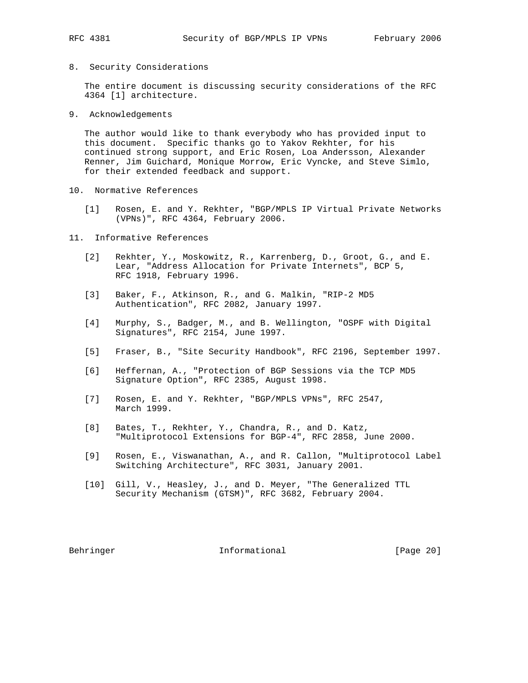- 
- 8. Security Considerations

 The entire document is discussing security considerations of the RFC 4364 [1] architecture.

9. Acknowledgements

 The author would like to thank everybody who has provided input to this document. Specific thanks go to Yakov Rekhter, for his continued strong support, and Eric Rosen, Loa Andersson, Alexander Renner, Jim Guichard, Monique Morrow, Eric Vyncke, and Steve Simlo, for their extended feedback and support.

- 10. Normative References
	- [1] Rosen, E. and Y. Rekhter, "BGP/MPLS IP Virtual Private Networks (VPNs)", RFC 4364, February 2006.
- 11. Informative References
	- [2] Rekhter, Y., Moskowitz, R., Karrenberg, D., Groot, G., and E. Lear, "Address Allocation for Private Internets", BCP 5, RFC 1918, February 1996.
	- [3] Baker, F., Atkinson, R., and G. Malkin, "RIP-2 MD5 Authentication", RFC 2082, January 1997.
	- [4] Murphy, S., Badger, M., and B. Wellington, "OSPF with Digital Signatures", RFC 2154, June 1997.
	- [5] Fraser, B., "Site Security Handbook", RFC 2196, September 1997.
	- [6] Heffernan, A., "Protection of BGP Sessions via the TCP MD5 Signature Option", RFC 2385, August 1998.
	- [7] Rosen, E. and Y. Rekhter, "BGP/MPLS VPNs", RFC 2547, March 1999.
	- [8] Bates, T., Rekhter, Y., Chandra, R., and D. Katz, "Multiprotocol Extensions for BGP-4", RFC 2858, June 2000.
	- [9] Rosen, E., Viswanathan, A., and R. Callon, "Multiprotocol Label Switching Architecture", RFC 3031, January 2001.
	- [10] Gill, V., Heasley, J., and D. Meyer, "The Generalized TTL Security Mechanism (GTSM)", RFC 3682, February 2004.

Behringer 11 Informational [Page 20]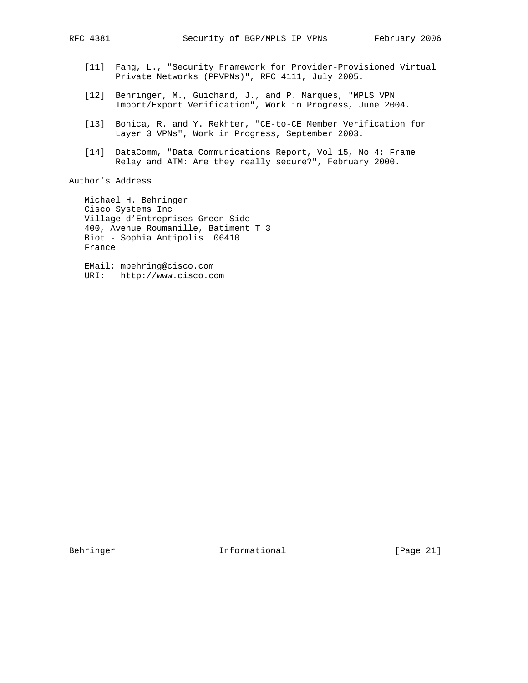- [11] Fang, L., "Security Framework for Provider-Provisioned Virtual Private Networks (PPVPNs)", RFC 4111, July 2005.
- [12] Behringer, M., Guichard, J., and P. Marques, "MPLS VPN Import/Export Verification", Work in Progress, June 2004.
- [13] Bonica, R. and Y. Rekhter, "CE-to-CE Member Verification for Layer 3 VPNs", Work in Progress, September 2003.
- [14] DataComm, "Data Communications Report, Vol 15, No 4: Frame Relay and ATM: Are they really secure?", February 2000.

# Author's Address

 Michael H. Behringer Cisco Systems Inc Village d'Entreprises Green Side 400, Avenue Roumanille, Batiment T 3 Biot - Sophia Antipolis 06410 France

 EMail: mbehring@cisco.com URI: http://www.cisco.com

Behringer 11 Informational [Page 21]